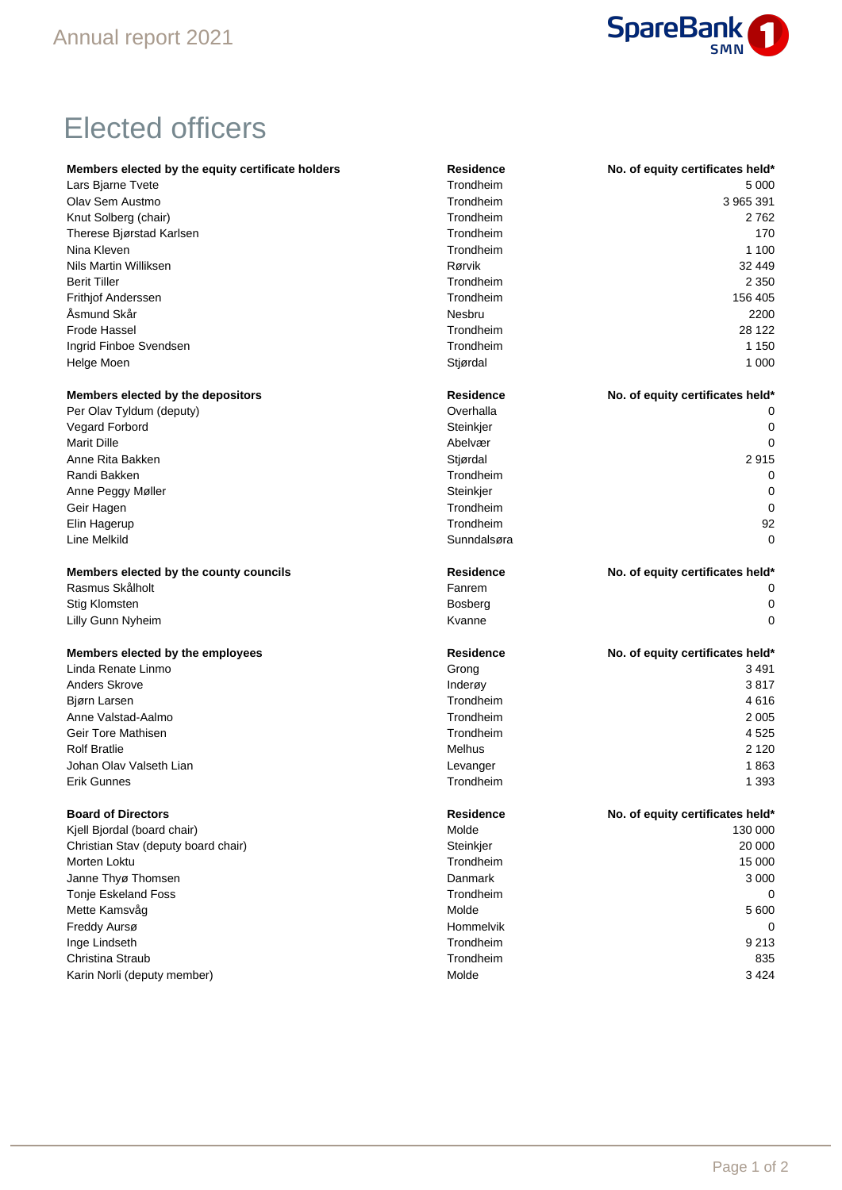

## Elected officers

| Members elected by the equity certificate holders | Residence        | No. of equity certificates held* |
|---------------------------------------------------|------------------|----------------------------------|
| Lars Bjarne Tvete                                 | Trondheim        | 5 0 0 0                          |
| Olav Sem Austmo                                   | Trondheim        | 3 965 391                        |
| Knut Solberg (chair)                              | Trondheim        | 2762                             |
| Therese Bjørstad Karlsen                          | Trondheim        | 170                              |
| Nina Kleven                                       | Trondheim        | 1 100                            |
| Nils Martin Williksen                             | Rørvik           | 32 449                           |
| <b>Berit Tiller</b>                               | Trondheim        | 2 3 5 0                          |
| Frithjof Anderssen                                | Trondheim        | 156 405                          |
| Åsmund Skår                                       | <b>Nesbru</b>    | 2200                             |
| <b>Frode Hassel</b>                               | Trondheim        | 28 122                           |
| Ingrid Finboe Svendsen                            | Trondheim        | 1 1 5 0                          |
| Helge Moen                                        | Stjørdal         | 1 0 0 0                          |
| Members elected by the depositors                 | <b>Residence</b> | No. of equity certificates held* |
| Per Olav Tyldum (deputy)                          | Overhalla        |                                  |
| Vegard Forbord                                    | Steinkjer        | 0                                |
| <b>Marit Dille</b>                                | Abelvær          | 0                                |
| Anne Rita Bakken                                  | Stjørdal         | 2915                             |
| Randi Bakken                                      | Trondheim        | 0                                |
| Anne Peggy Møller                                 | Steinkjer        | 0                                |
| Geir Hagen                                        | Trondheim        | 0                                |
| Elin Hagerup                                      | Trondheim        | 92                               |
| Line Melkild                                      | Sunndalsøra      | 0                                |
| Members elected by the county councils            | <b>Residence</b> | No. of equity certificates held* |
| Rasmus Skålholt                                   | Fanrem           | 0                                |
| <b>Stig Klomsten</b>                              | <b>Bosberg</b>   | 0                                |
| Lilly Gunn Nyheim                                 | Kvanne           | 0                                |
| Members elected by the employees                  | <b>Residence</b> | No. of equity certificates held* |
| Linda Renate Linmo                                | Grong            | 3491                             |
| <b>Anders Skrove</b>                              | Inderøy          | 3817                             |
| Bjørn Larsen                                      | Trondheim        | 4616                             |
| Anne Valstad-Aalmo                                | Trondheim        | 2 0 0 5                          |
| Geir Tore Mathisen                                | Trondheim        | 4 5 2 5                          |
| <b>Rolf Bratlie</b>                               | Melhus           | 2 1 2 0                          |
| Johan Olav Valseth Lian                           | Levanger         | 1863                             |
| <b>Erik Gunnes</b>                                | Trondheim        | 1 3 9 3                          |
| <b>Board of Directors</b>                         | <b>Residence</b> | No. of equity certificates held* |
| Kjell Bjordal (board chair)                       | Molde            | 130 000                          |
| Christian Stav (deputy board chair)               | Steinkjer        | 20 000                           |
| Morten Loktu                                      | Trondheim        | 15 000                           |
| Janne Thyø Thomsen                                | Danmark          | 3 0 0 0                          |
| Tonje Eskeland Foss                               | Trondheim        | 0                                |
| Mette Kamsvåg                                     | Molde            | 5 600                            |
| Freddy Aursø                                      | Hommelvik        | 0                                |
| Inge Lindseth                                     | Trondheim        | 9 2 1 3                          |
| Christina Straub                                  | Trondheim        | 835                              |
| Karin Norli (deputy member)                       | Molde            | 3 4 2 4                          |